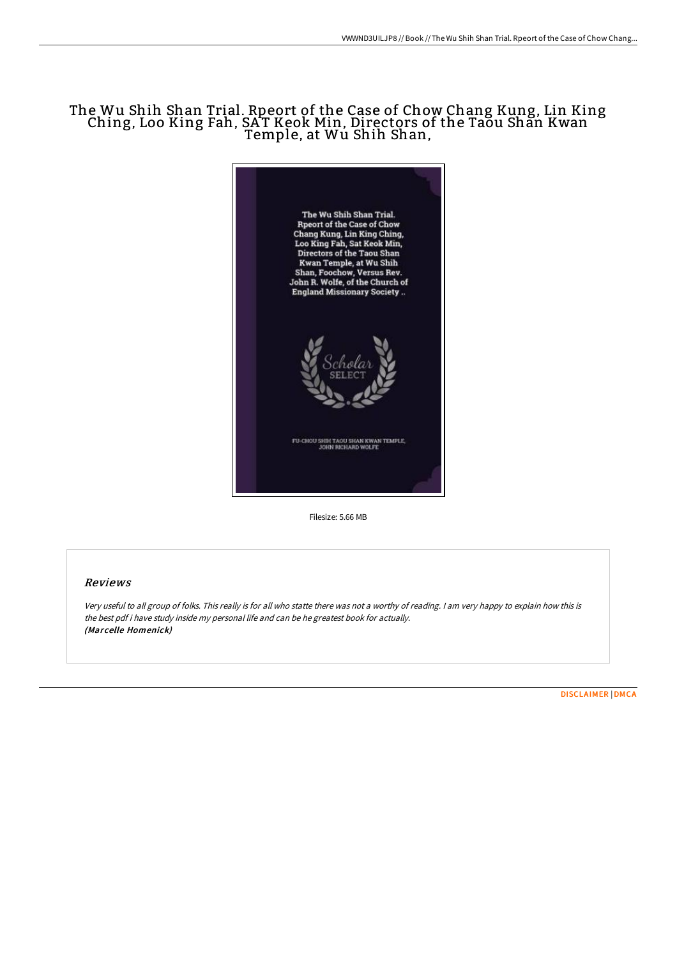## The Wu Shih Shan Trial. Rpeort of the Case of Chow Chang Kung, Lin King Ching, Loo King Fah, SAT Keok Min, Directors of the Taou Shan Kwan Temple, at Wu Shih Shan,



Filesize: 5.66 MB

## Reviews

Very useful to all group of folks. This really is for all who statte there was not <sup>a</sup> worthy of reading. <sup>I</sup> am very happy to explain how this is the best pdf i have study inside my personal life and can be he greatest book for actually. (Marcelle Homenick)

[DISCLAIMER](http://digilib.live/disclaimer.html) | [DMCA](http://digilib.live/dmca.html)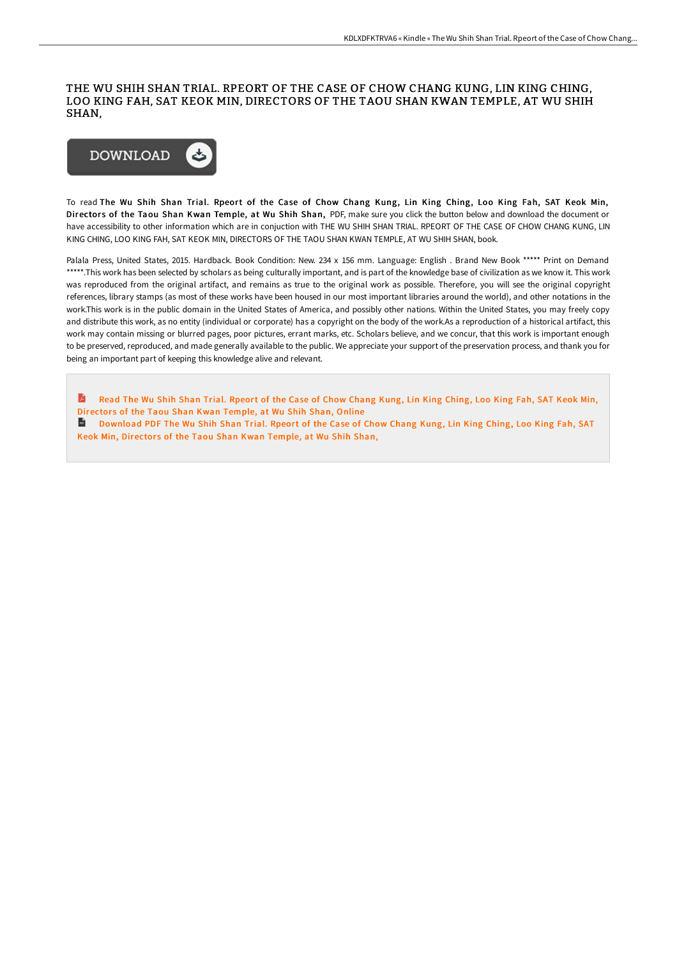## THE WU SHIH SHAN TRIAL. RPEORT OF THE CASE OF CHOW CHANG KUNG, LIN KING CHING, LOO KING FAH, SAT KEOK MIN, DIRECTORS OF THE TAOU SHAN KWAN TEMPLE, AT WU SHIH SHAN,



To read The Wu Shih Shan Trial. Rpeort of the Case of Chow Chang Kung, Lin King Ching, Loo King Fah, SAT Keok Min, Directors of the Taou Shan Kwan Temple, at Wu Shih Shan, PDF, make sure you click the button below and download the document or have accessibility to other information which are in conjuction with THE WU SHIH SHAN TRIAL. RPEORT OF THE CASE OF CHOW CHANG KUNG, LIN KING CHING, LOO KING FAH, SAT KEOK MIN, DIRECTORS OF THE TAOU SHAN KWAN TEMPLE, AT WU SHIH SHAN, book.

Palala Press, United States, 2015. Hardback. Book Condition: New. 234 x 156 mm. Language: English . Brand New Book \*\*\*\*\* Print on Demand \*\*\*\*\*.This work has been selected by scholars as being culturally important, and is part of the knowledge base of civilization as we know it. This work was reproduced from the original artifact, and remains as true to the original work as possible. Therefore, you will see the original copyright references, library stamps (as most of these works have been housed in our most important libraries around the world), and other notations in the work.This work is in the public domain in the United States of America, and possibly other nations. Within the United States, you may freely copy and distribute this work, as no entity (individual or corporate) has a copyright on the body of the work.As a reproduction of a historical artifact, this work may contain missing or blurred pages, poor pictures, errant marks, etc. Scholars believe, and we concur, that this work is important enough to be preserved, reproduced, and made generally available to the public. We appreciate your support of the preservation process, and thank you for being an important part of keeping this knowledge alive and relevant.

A Read The Wu Shih Shan Trial. Rpeort of the Case of Chow Chang Kung, Lin King Ching, Loo King Fah, SAT Keok Min, [Director](http://digilib.live/the-wu-shih-shan-trial-rpeort-of-the-case-of-cho.html)s of the Taou Shan Kwan Temple, at Wu Shih Shan, Online

[Download](http://digilib.live/the-wu-shih-shan-trial-rpeort-of-the-case-of-cho.html) PDF The Wu Shih Shan Trial. Rpeort of the Case of Chow Chang Kung, Lin King Ching, Loo King Fah, SAT Keok Min, Directors of the Taou Shan Kwan Temple, at Wu Shih Shan,